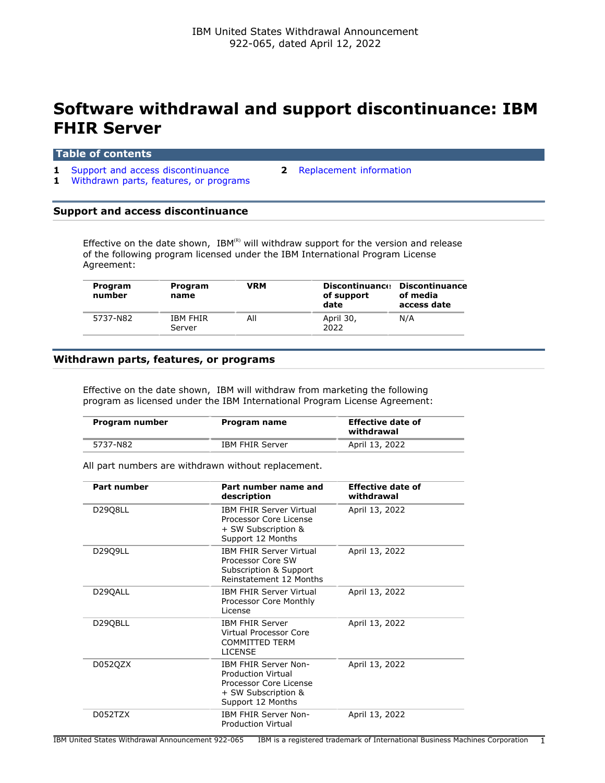# **Software withdrawal and support discontinuance: IBM FHIR Server**

#### **Table of contents**

- **1** [Support and access discontinuance](#page-0-0) **2** [Replacement information](#page-1-0)
	-
- **1** [Withdrawn parts, features, or programs](#page-0-1)

## <span id="page-0-0"></span>**Support and access discontinuance**

Effective on the date shown,  $IBM^{(R)}$  will withdraw support for the version and release of the following program licensed under the IBM International Program License Agreement:

| Program<br>number | Program<br>name           | VRM | <b>Discontinuance</b><br>of support<br>date | Discontinuance<br>of media<br>access date |
|-------------------|---------------------------|-----|---------------------------------------------|-------------------------------------------|
| 5737-N82          | <b>IBM FHIR</b><br>Server | All | April 30,<br>2022                           | N/A                                       |

#### <span id="page-0-1"></span>**Withdrawn parts, features, or programs**

Effective on the date shown, IBM will withdraw from marketing the following program as licensed under the IBM International Program License Agreement:

| Program number | Program name           | <b>Effective date of</b><br>withdrawal |
|----------------|------------------------|----------------------------------------|
| 5737-N82       | <b>IBM FHIR Server</b> | April 13, 2022                         |

All part numbers are withdrawn without replacement.

| Part number | Part number name and<br>description                                                                                     | <b>Effective date of</b><br>withdrawal |
|-------------|-------------------------------------------------------------------------------------------------------------------------|----------------------------------------|
| D2908LL     | <b>IBM FHIR Server Virtual</b><br>Processor Core License<br>+ SW Subscription &<br>Support 12 Months                    | April 13, 2022                         |
| D2909LL     | <b>IBM FHIR Server Virtual</b><br>Processor Core SW<br>Subscription & Support<br>Reinstatement 12 Months                | April 13, 2022                         |
| D29QALL     | <b>IBM FHIR Server Virtual</b><br>Processor Core Monthly<br>License                                                     | April 13, 2022                         |
| D29QBLL     | <b>IBM FHIR Server</b><br>Virtual Processor Core<br><b>COMMITTED TERM</b><br><b>LICENSE</b>                             | April 13, 2022                         |
| D052QZX     | <b>IBM FHIR Server Non-</b><br>Production Virtual<br>Processor Core License<br>+ SW Subscription &<br>Support 12 Months | April 13, 2022                         |
| D052TZX     | <b>IBM FHIR Server Non-</b><br><b>Production Virtual</b>                                                                | April 13, 2022                         |